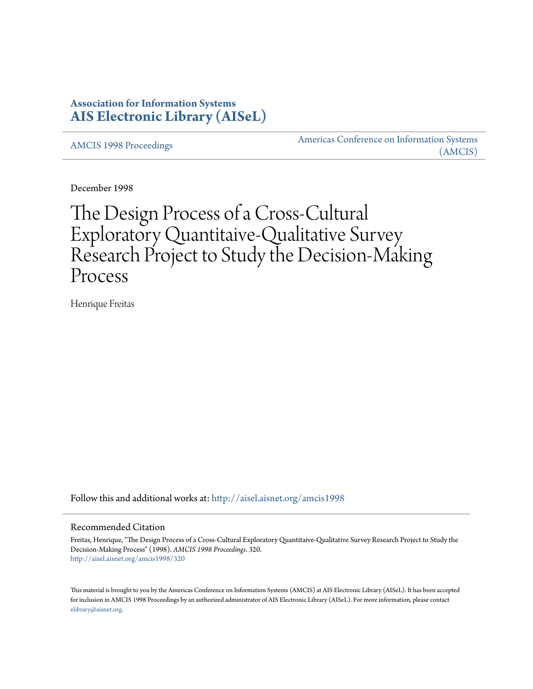# **Association for Information Systems [AIS Electronic Library \(AISeL\)](http://aisel.aisnet.org?utm_source=aisel.aisnet.org%2Famcis1998%2F320&utm_medium=PDF&utm_campaign=PDFCoverPages)**

[AMCIS 1998 Proceedings](http://aisel.aisnet.org/amcis1998?utm_source=aisel.aisnet.org%2Famcis1998%2F320&utm_medium=PDF&utm_campaign=PDFCoverPages)

[Americas Conference on Information Systems](http://aisel.aisnet.org/amcis?utm_source=aisel.aisnet.org%2Famcis1998%2F320&utm_medium=PDF&utm_campaign=PDFCoverPages) [\(AMCIS\)](http://aisel.aisnet.org/amcis?utm_source=aisel.aisnet.org%2Famcis1998%2F320&utm_medium=PDF&utm_campaign=PDFCoverPages)

December 1998

# The Design Process of a Cross-Cultural Exploratory Quantitaive-Qualitative Survey Research Project to Study the Decision-Making Process

Henrique Freitas

Follow this and additional works at: [http://aisel.aisnet.org/amcis1998](http://aisel.aisnet.org/amcis1998?utm_source=aisel.aisnet.org%2Famcis1998%2F320&utm_medium=PDF&utm_campaign=PDFCoverPages)

# Recommended Citation

Freitas, Henrique, "The Design Process of a Cross-Cultural Exploratory Quantitaive-Qualitative Survey Research Project to Study the Decision-Making Process" (1998). *AMCIS 1998 Proceedings*. 320. [http://aisel.aisnet.org/amcis1998/320](http://aisel.aisnet.org/amcis1998/320?utm_source=aisel.aisnet.org%2Famcis1998%2F320&utm_medium=PDF&utm_campaign=PDFCoverPages)

This material is brought to you by the Americas Conference on Information Systems (AMCIS) at AIS Electronic Library (AISeL). It has been accepted for inclusion in AMCIS 1998 Proceedings by an authorized administrator of AIS Electronic Library (AISeL). For more information, please contact [elibrary@aisnet.org.](mailto:elibrary@aisnet.org%3E)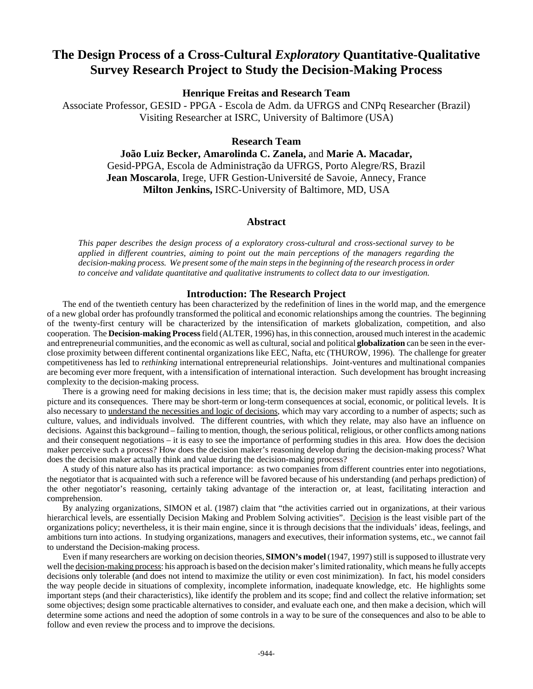# **The Design Process of a Cross-Cultural** *Exploratory* **Quantitative-Qualitative Survey Research Project to Study the Decision-Making Process**

**Henrique Freitas and Research Team**

Associate Professor, GESID - PPGA - Escola de Adm. da UFRGS and CNPq Researcher (Brazil) Visiting Researcher at ISRC, University of Baltimore (USA)

**Research Team**

**João Luiz Becker, Amarolinda C. Zanela,** and **Marie A. Macadar,** Gesid-PPGA, Escola de Administração da UFRGS, Porto Alegre/RS, Brazil **Jean Moscarola**, Irege, UFR Gestion-Université de Savoie, Annecy, France **Milton Jenkins,** ISRC-University of Baltimore, MD, USA

# **Abstract**

*This paper describes the design process of a exploratory cross-cultural and cross-sectional survey to be applied in different countries, aiming to point out the main perceptions of the managers regarding the decision-making process. We present some of the main steps in the beginning of the research process in order to conceive and validate quantitative and qualitative instruments to collect data to our investigation.*

### **Introduction: The Research Project**

The end of the twentieth century has been characterized by the redefinition of lines in the world map, and the emergence of a new global order has profoundly transformed the political and economic relationships among the countries. The beginning of the twenty-first century will be characterized by the intensification of markets globalization, competition, and also cooperation. The **Decision-making Process** field (ALTER, 1996) has, in this connection, aroused much interest in the academic and entrepreneurial communities, and the economic as well as cultural, social and political **globalization** can be seen in the everclose proximity between different continental organizations like EEC, Nafta, etc (THUROW, 1996). The challenge for greater competitiveness has led to *rethinking* international entrepreneurial relationships. Joint-ventures and multinational companies are becoming ever more frequent, with a intensification of international interaction. Such development has brought increasing complexity to the decision-making process.

There is a growing need for making decisions in less time; that is, the decision maker must rapidly assess this complex picture and its consequences. There may be short-term or long-term consequences at social, economic, or political levels. It is also necessary to understand the necessities and logic of decisions, which may vary according to a number of aspects; such as culture, values, and individuals involved. The different countries, with which they relate, may also have an influence on decisions. Against this background – failing to mention, though, the serious political, religious, or other conflicts among nations and their consequent negotiations – it is easy to see the importance of performing studies in this area. How does the decision maker perceive such a process? How does the decision maker's reasoning develop during the decision-making process? What does the decision maker actually think and value during the decision-making process?

A study of this nature also has its practical importance: as two companies from different countries enter into negotiations, the negotiator that is acquainted with such a reference will be favored because of his understanding (and perhaps prediction) of the other negotiator's reasoning, certainly taking advantage of the interaction or, at least, facilitating interaction and comprehension.

By analyzing organizations, SIMON et al. (1987) claim that "the activities carried out in organizations, at their various hierarchical levels, are essentially Decision Making and Problem Solving activities". Decision is the least visible part of the organizations policy; nevertheless, it is their main engine, since it is through decisions that the individuals' ideas, feelings, and ambitions turn into actions. In studying organizations, managers and executives, their information systems, etc., we cannot fail to understand the Decision-making process.

Even if many researchers are working on decision theories, **SIMON's model** (1947, 1997) still is supposed to illustrate very well the decision-making process: his approach is based on the decision maker's limited rationality, which means he fully accepts decisions only tolerable (and does not intend to maximize the utility or even cost minimization). In fact, his model considers the way people decide in situations of complexity, incomplete information, inadequate knowledge, etc. He highlights some important steps (and their characteristics), like identify the problem and its scope; find and collect the relative information; set some objectives; design some practicable alternatives to consider, and evaluate each one, and then make a decision, which will determine some actions and need the adoption of some controls in a way to be sure of the consequences and also to be able to follow and even review the process and to improve the decisions.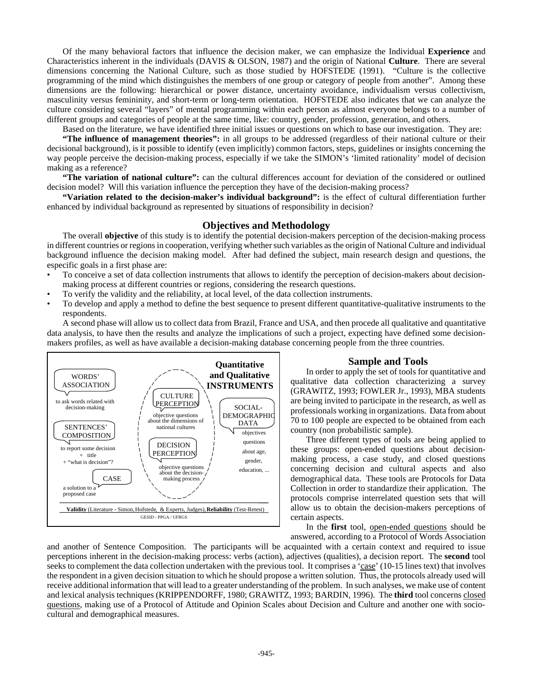Of the many behavioral factors that influence the decision maker, we can emphasize the Individual **Experience** and Characteristics inherent in the individuals (DAVIS & OLSON, 1987) and the origin of National **Culture**. There are several dimensions concerning the National Culture, such as those studied by HOFSTEDE (1991). "Culture is the collective programming of the mind which distinguishes the members of one group or category of people from another". Among these dimensions are the following: hierarchical or power distance, uncertainty avoidance, individualism versus collectivism, masculinity versus femininity, and short-term or long-term orientation. HOFSTEDE also indicates that we can analyze the culture considering several "layers" of mental programming within each person as almost everyone belongs to a number of different groups and categories of people at the same time, like: country, gender, profession, generation, and others.

Based on the literature, we have identified three initial issues or questions on which to base our investigation. They are:

**"The influence of management theories":** in all groups to be addressed (regardless of their national culture or their decisional background), is it possible to identify (even implicitly) common factors, steps, guidelines or insights concerning the way people perceive the decision-making process, especially if we take the SIMON's 'limited rationality' model of decision making as a reference?

**"The variation of national culture":** can the cultural differences account for deviation of the considered or outlined decision model? Will this variation influence the perception they have of the decision-making process?

**"Variation related to the decision-maker's individual background":** is the effect of cultural differentiation further enhanced by individual background as represented by situations of responsibility in decision?

#### **Objectives and Methodology**

The overall **objective** of this study is to identify the potential decision-makers perception of the decision-making process in different countries or regions in cooperation, verifying whether such variables as the origin of National Culture and individual background influence the decision making model. After had defined the subject, main research design and questions, the especific goals in a first phase are:

- To conceive a set of data collection instruments that allows to identify the perception of decision-makers about decisionmaking process at different countries or regions, considering the research questions.
- To verify the validity and the reliability, at local level, of the data collection instruments.
- To develop and apply a method to define the best sequence to present different quantitative-qualitative instruments to the respondents.

A second phase will allow us to collect data from Brazil, France and USA, and then procede all qualitative and quantitative data analysis, to have then the results and analyze the implications of such a project, expecting have defined some decisionmakers profiles, as well as have available a decision-making database concerning people from the three countries.



#### **Sample and Tools**

In order to apply the set of tools for quantitative and qualitative data collection characterizing a survey (GRAWITZ, 1993; FOWLER Jr., 1993), MBA students are being invited to participate in the research, as well as professionals working in organizations. Data from about 70 to 100 people are expected to be obtained from each country (non probabilistic sample).

Three different types of tools are being applied to these groups: open-ended questions about decisionmaking process, a case study, and closed questions concerning decision and cultural aspects and also demographical data. These tools are Protocols for Data Collection in order to standardize their application. The protocols comprise interrelated question sets that will allow us to obtain the decision-makers perceptions of certain aspects.

In the **first** tool, open-ended questions should be answered, according to a Protocol of Words Association

and another of Sentence Composition. The participants will be acquainted with a certain context and required to issue perceptions inherent in the decision-making process: verbs (action), adjectives (qualities), a decision report. The **second** tool seeks to complement the data collection undertaken with the previous tool. It comprises a 'case' (10-15 lines text) that involves the respondent in a given decision situation to which he should propose a written solution. Thus, the protocols already used will receive additional information that will lead to a greater understanding of the problem. In such analyses, we make use of content and lexical analysis techniques (KRIPPENDORFF, 1980; GRAWITZ, 1993; BARDIN, 1996). The **third** tool concerns closed questions, making use of a Protocol of Attitude and Opinion Scales about Decision and Culture and another one with sociocultural and demographical measures.